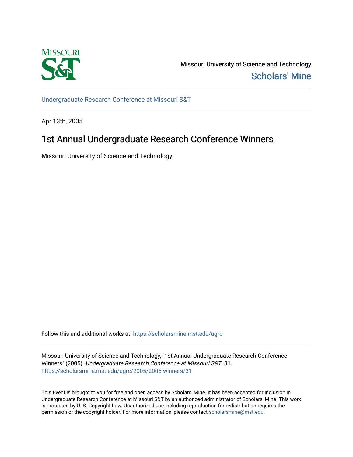

Missouri University of Science and Technology [Scholars' Mine](https://scholarsmine.mst.edu/) 

[Undergraduate Research Conference at Missouri S&T](https://scholarsmine.mst.edu/ugrc)

Apr 13th, 2005

# 1st Annual Undergraduate Research Conference Winners

Missouri University of Science and Technology

Follow this and additional works at: [https://scholarsmine.mst.edu/ugrc](https://scholarsmine.mst.edu/ugrc?utm_source=scholarsmine.mst.edu%2Fugrc%2F2005%2F2005-winners%2F31&utm_medium=PDF&utm_campaign=PDFCoverPages) 

Missouri University of Science and Technology, "1st Annual Undergraduate Research Conference Winners" (2005). Undergraduate Research Conference at Missouri S&T. 31. [https://scholarsmine.mst.edu/ugrc/2005/2005-winners/31](https://scholarsmine.mst.edu/ugrc/2005/2005-winners/31?utm_source=scholarsmine.mst.edu%2Fugrc%2F2005%2F2005-winners%2F31&utm_medium=PDF&utm_campaign=PDFCoverPages)

This Event is brought to you for free and open access by Scholars' Mine. It has been accepted for inclusion in Undergraduate Research Conference at Missouri S&T by an authorized administrator of Scholars' Mine. This work is protected by U. S. Copyright Law. Unauthorized use including reproduction for redistribution requires the permission of the copyright holder. For more information, please contact [scholarsmine@mst.edu](mailto:scholarsmine@mst.edu).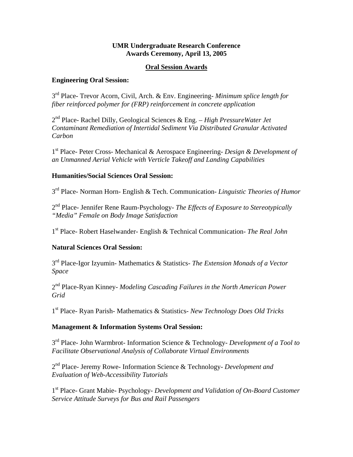# **UMR Undergraduate Research Conference Awards Ceremony, April 13, 2005**

## **Oral Session Awards**

## **Engineering Oral Session:**

3rd Place- Trevor Acorn, Civil, Arch. & Env. Engineering- *Minimum splice length for fiber reinforced polymer for (FRP) reinforcement in concrete application*

2nd Place- Rachel Dilly, Geological Sciences & Eng. – *High PressureWater Jet Contaminant Remediation of Intertidal Sediment Via Distributed Granular Activated Carbon* 

1st Place- Peter Cross- Mechanical & Aerospace Engineering- *Design & Development of an Unmanned Aerial Vehicle with Verticle Takeoff and Landing Capabilities*

### **Humanities/Social Sciences Oral Session:**

3rd Place- Norman Horn- English & Tech. Communication- *Linguistic Theories of Humor* 

2nd Place- Jennifer Rene Raum-Psychology- *The Effects of Exposure to Stereotypically "Media" Female on Body Image Satisfaction*

1st Place- Robert Haselwander- English & Technical Communication- *The Real John*

# **Natural Sciences Oral Session:**

3rd Place-Igor Izyumin- Mathematics & Statistics- *The Extension Monads of a Vector Space* 

2nd Place-Ryan Kinney- *Modeling Cascading Failures in the North American Power Grid*

1st Place- Ryan Parish- Mathematics & Statistics- *New Technology Does Old Tricks*

# **Management & Information Systems Oral Session:**

3rd Place- John Warmbrot- Information Science & Technology- *Development of a Tool to Facilitate Observational Analysis of Collaborate Virtual Environments* 

2nd Place- Jeremy Rowe- Information Science & Technology- *Development and Evaluation of Web-Accessibility Tutorials*

1st Place- Grant Mabie- Psychology- *Development and Validation of On-Board Customer Service Attitude Surveys for Bus and Rail Passengers*